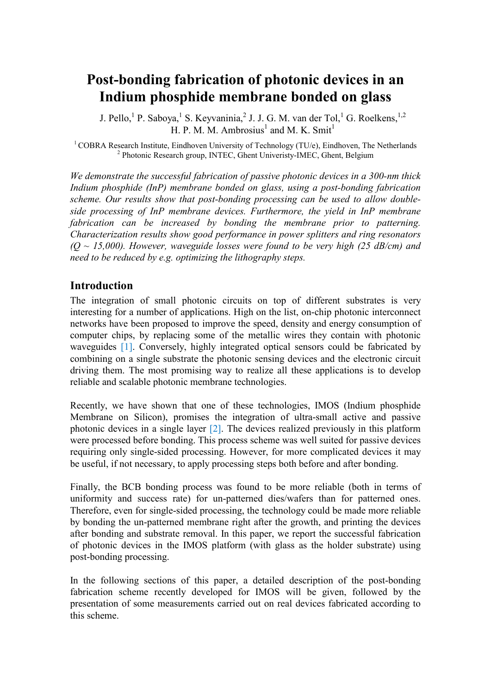# **Post-bonding fabrication of photonic devices in an Indium phosphide membrane bonded on glass**

J. Pello, <sup>1</sup> P. Saboya, <sup>1</sup> S. Keyvaninia, <sup>2</sup> J. J. G. M. van der Tol, <sup>1</sup> G. Roelkens, <sup>1,2</sup> H. P. M. M. Ambrosius<sup>1</sup> and M. K. Smit<sup>1</sup>

<sup>1</sup> COBRA Research Institute, Eindhoven University of Technology (TU/e), Eindhoven, The Netherlands <sup>2</sup> Photonic Research group, INTEC, Ghent Univeristy-IMEC, Ghent, Belgium

*We demonstrate the successful fabrication of passive photonic devices in a 300-nm thick Indium phosphide (InP) membrane bonded on glass, using a post-bonding fabrication scheme. Our results show that post-bonding processing can be used to allow doubleside processing of InP membrane devices. Furthermore, the yield in InP membrane fabrication can be increased by bonding the membrane prior to patterning. Characterization results show good performance in power splitters and ring resonators (Q ~ 15,000). However, waveguide losses were found to be very high (25 dB/cm) and need to be reduced by e.g. optimizing the lithography steps.*

## **Introduction**

The integration of small photonic circuits on top of different substrates is very interesting for a number of applications. High on the list, on-chip photonic interconnect networks have been proposed to improve the speed, density and energy consumption of computer chips, by replacing some of the metallic wires they contain with photonic waveguides [1]. Conversely, highly integrated optical sensors could be fabricated by combining on a single substrate the photonic sensing devices and the electronic circuit driving them. The most promising way to realize all these applications is to develop reliable and scalable photonic membrane technologies.

Recently, we have shown that one of these technologies, IMOS (Indium phosphide Membrane on Silicon), promises the integration of ultra-small active and passive photonic devices in a single layer [2]. The devices realized previously in this platform were processed before bonding. This process scheme was well suited for passive devices requiring only single-sided processing. However, for more complicated devices it may be useful, if not necessary, to apply processing steps both before and after bonding.

Finally, the BCB bonding process was found to be more reliable (both in terms of uniformity and success rate) for un-patterned dies/wafers than for patterned ones. Therefore, even for single-sided processing, the technology could be made more reliable by bonding the un-patterned membrane right after the growth, and printing the devices after bonding and substrate removal. In this paper, we report the successful fabrication of photonic devices in the IMOS platform (with glass as the holder substrate) using post-bonding processing.

In the following sections of this paper, a detailed description of the post-bonding fabrication scheme recently developed for IMOS will be given, followed by the presentation of some measurements carried out on real devices fabricated according to this scheme.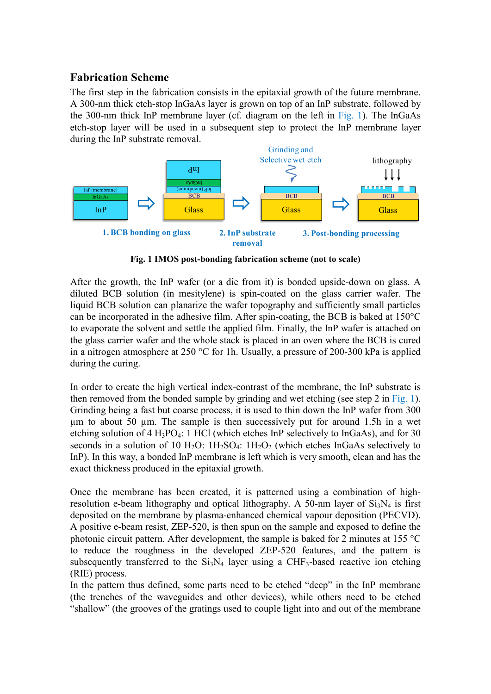## **Fabrication Scheme**

The first step in the fabrication consists in the epitaxial growth of the future membrane. A 300-nm thick etch-stop InGaAs layer is grown on top of an InP substrate, followed by the 300-nm thick InP membrane layer (cf. diagram on the left in Fig. 1). The InGaAs etch-stop layer will be used in a subsequent step to protect the InP membrane layer during the InP substrate removal.



**Fig. 1 IMOS post-bonding fabrication scheme (not to scale)**

After the growth, the InP wafer (or a die from it) is bonded upside-down on glass. A diluted BCB solution (in mesitylene) is spin-coated on the glass carrier wafer. The liquid BCB solution can planarize the wafer topography and sufficiently small particles can be incorporated in the adhesive film. After spin-coating, the BCB is baked at 150°C to evaporate the solvent and settle the applied film. Finally, the InP wafer is attached on the glass carrier wafer and the whole stack is placed in an oven where the BCB is cured in a nitrogen atmosphere at 250 °C for 1h. Usually, a pressure of 200-300 kPa is applied during the curing.

In order to create the high vertical index-contrast of the membrane, the InP substrate is then removed from the bonded sample by grinding and wet etching (see step 2 in Fig. 1). Grinding being a fast but coarse process, it is used to thin down the InP wafer from 300 µm to about 50 µm. The sample is then successively put for around 1.5h in a wet etching solution of 4 H<sub>3</sub>PO<sub>4</sub>: 1 HCl (which etches InP selectively to InGaAs), and for 30 seconds in a solution of 10 H<sub>2</sub>O:  $1H_2SO_4$ :  $1H_2O_2$  (which etches InGaAs selectively to InP). In this way, a bonded InP membrane is left which is very smooth, clean and has the exact thickness produced in the epitaxial growth.

Once the membrane has been created, it is patterned using a combination of highresolution e-beam lithography and optical lithography. A 50-nm layer of  $Si_3N_4$  is first deposited on the membrane by plasma-enhanced chemical vapour deposition (PECVD). A positive e-beam resist, ZEP-520, is then spun on the sample and exposed to define the photonic circuit pattern. After development, the sample is baked for 2 minutes at 155 °C to reduce the roughness in the developed ZEP-520 features, and the pattern is subsequently transferred to the  $Si<sub>3</sub>N<sub>4</sub>$  layer using a CHF<sub>3</sub>-based reactive ion etching (RIE) process.

In the pattern thus defined, some parts need to be etched "deep" in the InP membrane (the trenches of the waveguides and other devices), while others need to be etched "shallow" (the grooves of the gratings used to couple light into and out of the membrane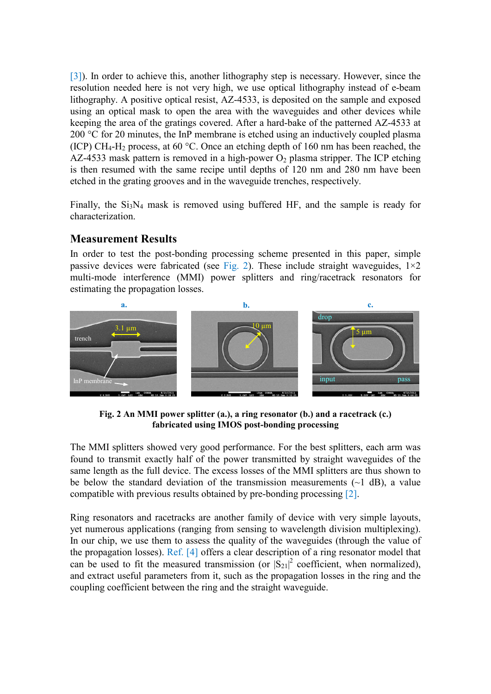[3]). In order to achieve this, another lithography step is necessary. However, since the resolution needed here is not very high, we use optical lithography instead of e-beam lithography. A positive optical resist, AZ-4533, is deposited on the sample and exposed using an optical mask to open the area with the waveguides and other devices while keeping the area of the gratings covered. After a hard-bake of the patterned AZ-4533 at 200 °C for 20 minutes, the InP membrane is etched using an inductively coupled plasma (ICP) CH<sub>4</sub>-H<sub>2</sub> process, at 60 °C. Once an etching depth of 160 nm has been reached, the AZ-4533 mask pattern is removed in a high-power  $O_2$  plasma stripper. The ICP etching is then resumed with the same recipe until depths of 120 nm and 280 nm have been etched in the grating grooves and in the waveguide trenches, respectively.

Finally, the  $Si_3N_4$  mask is removed using buffered HF, and the sample is ready for characterization.

# **Measurement Results**

In order to test the post-bonding processing scheme presented in this paper, simple passive devices were fabricated (see Fig. 2). These include straight waveguides,  $1\times 2$ multi-mode interference (MMI) power splitters and ring/racetrack resonators for estimating the propagation losses.



**Fig. 2 An MMI power splitter (a.), a ring resonator (b.) and a racetrack (c.) fabricated using IMOS post-bonding processing**

The MMI splitters showed very good performance. For the best splitters, each arm was found to transmit exactly half of the power transmitted by straight waveguides of the same length as the full device. The excess losses of the MMI splitters are thus shown to be below the standard deviation of the transmission measurements  $(\sim 1$  dB), a value compatible with previous results obtained by pre-bonding processing [2].

Ring resonators and racetracks are another family of device with very simple layouts, yet numerous applications (ranging from sensing to wavelength division multiplexing). In our chip, we use them to assess the quality of the waveguides (through the value of the propagation losses). Ref. [4] offers a clear description of a ring resonator model that can be used to fit the measured transmission (or  $|S_{21}|^2$  coefficient, when normalized), and extract useful parameters from it, such as the propagation losses in the ring and the coupling coefficient between the ring and the straight waveguide.